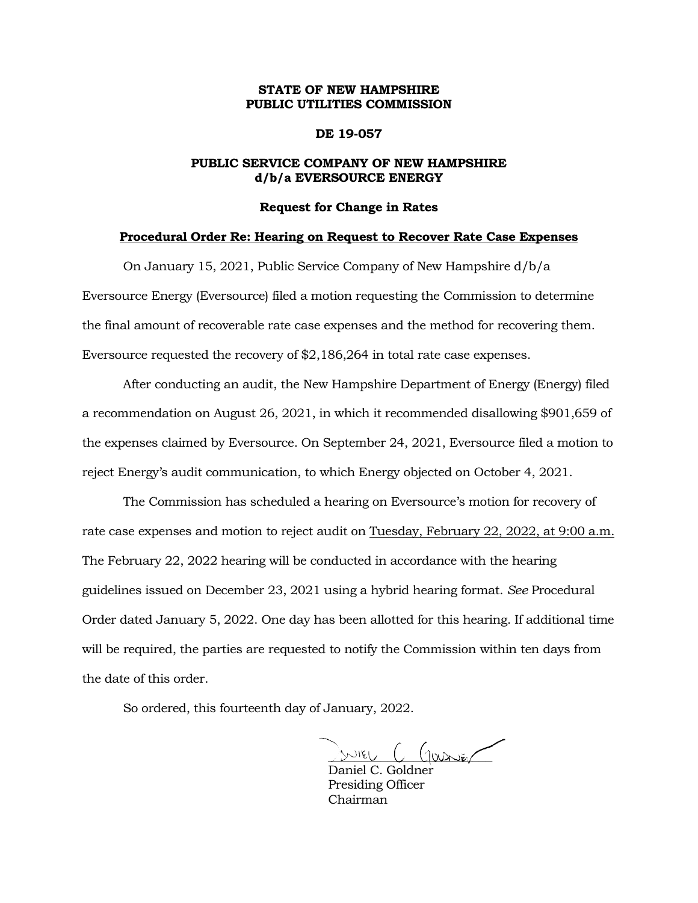# **STATE OF NEW HAMPSHIRE PUBLIC UTILITIES COMMISSION**

### **DE 19-057**

# **PUBLIC SERVICE COMPANY OF NEW HAMPSHIRE d/b/a EVERSOURCE ENERGY**

#### **Request for Change in Rates**

#### **Procedural Order Re: Hearing on Request to Recover Rate Case Expenses**

On January 15, 2021, Public Service Company of New Hampshire d/b/a Eversource Energy (Eversource) filed a motion requesting the Commission to determine the final amount of recoverable rate case expenses and the method for recovering them. Eversource requested the recovery of \$2,186,264 in total rate case expenses.

After conducting an audit, the New Hampshire Department of Energy (Energy) filed a recommendation on August 26, 2021, in which it recommended disallowing \$901,659 of the expenses claimed by Eversource. On September 24, 2021, Eversource filed a motion to reject Energy's audit communication, to which Energy objected on October 4, 2021.

The Commission has scheduled a hearing on Eversource's motion for recovery of rate case expenses and motion to reject audit on Tuesday, February 22, 2022, at 9:00 a.m. The February 22, 2022 hearing will be conducted in accordance with the hearing guidelines issued on December 23, 2021 using a hybrid hearing format. *See* Procedural Order dated January 5, 2022. One day has been allotted for this hearing. If additional time will be required, the parties are requested to notify the Commission within ten days from the date of this order.

So ordered, this fourteenth day of January, 2022.

 $SNIEU$   $C$   $Gaxx$ 

Daniel C. Goldner Presiding Officer Chairman